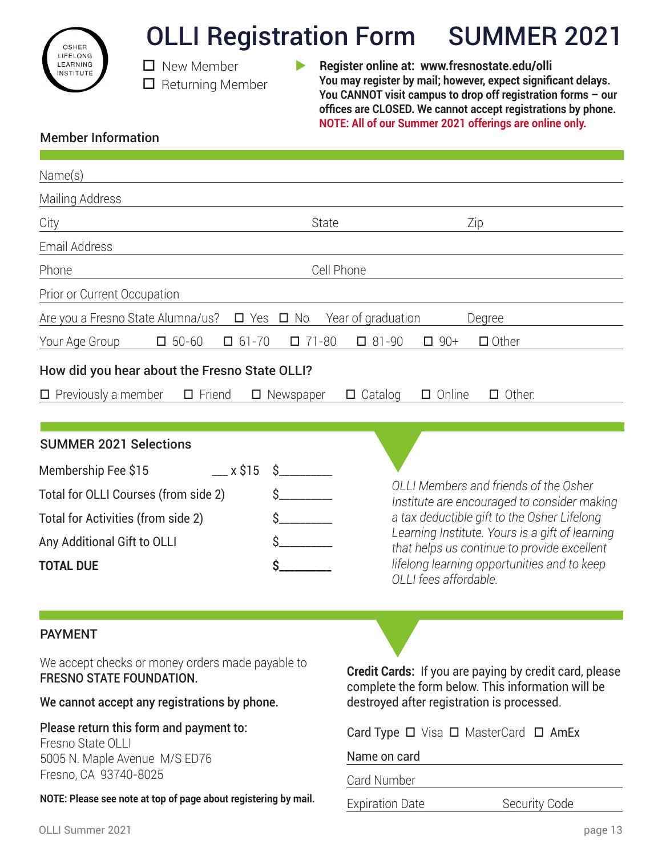

# OLLI Registration Form SUMMER 2021

- $\square$  New Member  $\Box$  Returning Member
- **Register online at: www.fresnostate.edu/olli You may register by mail; however, expect significant delays. You CANNOT visit campus to drop off registration forms – our offices are CLOSED. We cannot accept registrations by phone. NOTE: All of our Summer 2021 offerings are online only.**

### Member Information

| Name(s)                                                                                                                                                                      |                                                                                                                                                                                                                                                                                                               |  |  |
|------------------------------------------------------------------------------------------------------------------------------------------------------------------------------|---------------------------------------------------------------------------------------------------------------------------------------------------------------------------------------------------------------------------------------------------------------------------------------------------------------|--|--|
| Mailing Address                                                                                                                                                              |                                                                                                                                                                                                                                                                                                               |  |  |
| <b>State</b><br>City                                                                                                                                                         | Zip                                                                                                                                                                                                                                                                                                           |  |  |
| Email Address                                                                                                                                                                |                                                                                                                                                                                                                                                                                                               |  |  |
| Phone                                                                                                                                                                        | Cell Phone                                                                                                                                                                                                                                                                                                    |  |  |
| Prior or Current Occupation                                                                                                                                                  |                                                                                                                                                                                                                                                                                                               |  |  |
| Are you a Fresno State Alumna/us?<br>$\Box$ Yes $\Box$ No                                                                                                                    | Year of graduation<br>Degree                                                                                                                                                                                                                                                                                  |  |  |
| $\Box$ 50-60<br>$\Box$ 61-70<br>$\Box$ 71-80<br>Your Age Group                                                                                                               | $\Box$ 81-90<br>$\Box$ Other<br>$\Box$ 90+                                                                                                                                                                                                                                                                    |  |  |
| How did you hear about the Fresno State OLLI?                                                                                                                                |                                                                                                                                                                                                                                                                                                               |  |  |
| $\Box$ Previously a member<br>$\Box$ Friend<br>$\Box$ Newspaper                                                                                                              | $\Box$ Online<br>$\Box$ Other:<br>Catalog<br>$\Box$                                                                                                                                                                                                                                                           |  |  |
|                                                                                                                                                                              |                                                                                                                                                                                                                                                                                                               |  |  |
| <b>SUMMER 2021 Selections</b>                                                                                                                                                |                                                                                                                                                                                                                                                                                                               |  |  |
| Membership Fee \$15<br>$\equiv$ x \$15<br>Total for OLLI Courses (from side 2)<br>Total for Activities (from side 2)<br>Any Additional Gift to OLLI<br><b>TOTAL DUE</b><br>Ś | OLLI Members and friends of the Osher<br>Institute are encouraged to consider making<br>a tax deductible gift to the Osher Lifelong<br>Learning Institute. Yours is a gift of learning<br>that helps us continue to provide excellent<br>lifelong learning opportunities and to keep<br>OLLI fees affordable. |  |  |
| <b>PAYMENT</b>                                                                                                                                                               |                                                                                                                                                                                                                                                                                                               |  |  |
| We accept checks or money orders made payable to<br><b>FRESNO STATE FOUNDATION.</b>                                                                                          | <b>Credit Cards:</b> If you are paying by credit card, please<br>complete the form below. This information will be<br>destroyed after registration is processed.                                                                                                                                              |  |  |
| We cannot accept any registrations by phone.                                                                                                                                 |                                                                                                                                                                                                                                                                                                               |  |  |
| Please return this form and payment to:<br>Fresno State OLLI<br>5005 N. Maple Avenue M/S ED76<br>Fresno, CA 93740-8025                                                       | Card Type □ Visa □ MasterCard □ AmEx<br>Name on card<br>Card Number                                                                                                                                                                                                                                           |  |  |
| NOTE: Please see note at top of page about registering by mail.                                                                                                              | <b>Expiration Date</b><br>Security Code                                                                                                                                                                                                                                                                       |  |  |
|                                                                                                                                                                              |                                                                                                                                                                                                                                                                                                               |  |  |